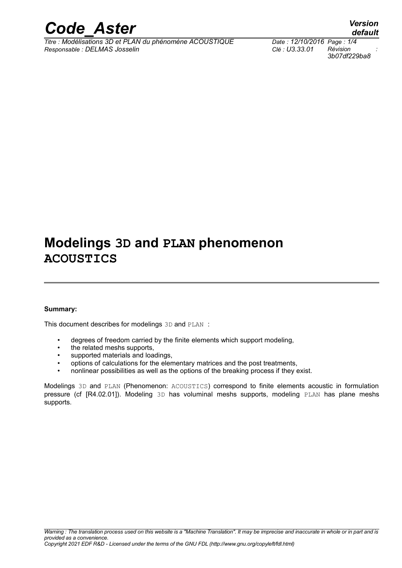

*default*

# **Modelings 3D and PLAN phenomenon ACOUSTICS**

#### **Summary:**

This document describes for modelings 3D and PLAN :

- degrees of freedom carried by the finite elements which support modeling,
- the related meshs supports,
- supported materials and loadings,
- options of calculations for the elementary matrices and the post treatments,
- nonlinear possibilities as well as the options of the breaking process if they exist.

Modelings 3D and PLAN (Phenomenon: ACOUSTICS) correspond to finite elements acoustic in formulation pressure (cf [R4.02.01]). Modeling 3D has voluminal meshs supports, modeling PLAN has plane meshs supports.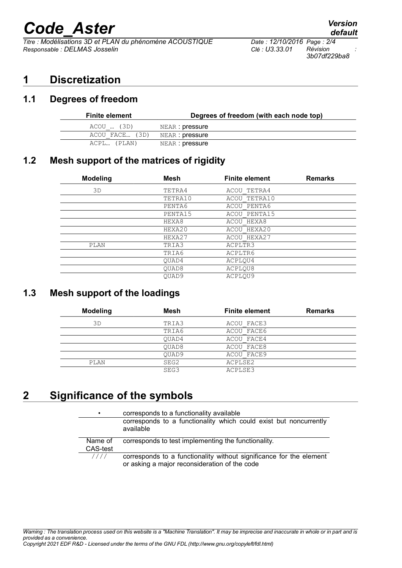# *Code\_Aster Version*

*Titre : Modélisations 3D et PLAN du phénomène ACOUSTIQUE Date : 12/10/2016 Page : 2/4 Responsable : DELMAS Josselin Clé : U3.33.01 Révision :*

### **1 Discretization**

#### **1.1 Degrees of freedom**

| <b>Finite element</b> | Degrees of freedom (with each node top) |  |  |
|-----------------------|-----------------------------------------|--|--|
| ACOU  (3D)            | NEAR : pressure                         |  |  |
| ACOU FACE (3D)        | NEAR : pressure                         |  |  |
| ACPL (PLAN)           | NEAR : pressure                         |  |  |

#### **1.2 Mesh support of the matrices of rigidity**

| <b>Modeling</b> | <b>Mesh</b>       | <b>Finite element</b> | <b>Remarks</b> |
|-----------------|-------------------|-----------------------|----------------|
| 3D              | TETRA4            | ACOU TETRA4           |                |
|                 | TETRA10           | ACOU TETRA10          |                |
|                 | PENTA6            | ACOU PENTA6           |                |
|                 | PENTA15           | ACOU PENTA15          |                |
|                 | HEXA8             | ACOU HEXA8            |                |
|                 | HEXA20            | ACOU HEXA20           |                |
|                 | HEXA27            | ACOU HEXA27           |                |
| PLAN            | TRIA3             | ACPLTR3               |                |
|                 | TRIA6             | ACPLTR6               |                |
|                 | OUAD4             | ACPLOU4               |                |
|                 | OUAD <sub>8</sub> | ACPLQU8               |                |
|                 | OUAD9             | ACPLOU9               |                |

### **1.3 Mesh support of the loadings**

| <b>Modeling</b> | Mesh  | <b>Finite element</b> | <b>Remarks</b> |
|-----------------|-------|-----------------------|----------------|
| 3D              | TRIA3 | ACOU FACE3            |                |
|                 | TRIA6 | ACOU FACE6            |                |
|                 | OUAD4 | ACOU FACE4            |                |
|                 | OUAD8 | ACOU FACE8            |                |
|                 | OUAD9 | ACOU FACE9            |                |
| PLAN            | SEG2  | ACPLSE2               |                |
|                 | SEG3  | ACPLSE3               |                |

### **2 Significance of the symbols**

| $\bullet$                  | corresponds to a functionality available<br>corresponds to a functionality which could exist but noncurrently<br>available |
|----------------------------|----------------------------------------------------------------------------------------------------------------------------|
| Name of<br><b>CAS-test</b> | corresponds to test implementing the functionality.                                                                        |
| 1111                       | corresponds to a functionality without significance for the element<br>or asking a major reconsideration of the code       |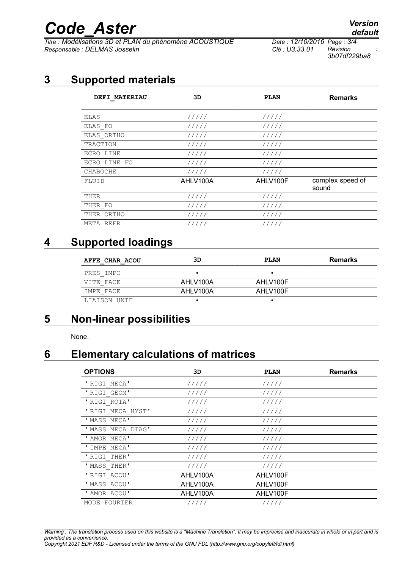# *Code\_Aster Version*

*Titre : Modélisations 3D et PLAN du phénomène ACOUSTIQUE Date : 12/10/2016 Page : 3/4 Responsable : DELMAS Josselin Clé : U3.33.01 Révision :*

*3b07df229ba8*

## **3 Supported materials**

| <b>DEFI MATERIAU</b> | 3D       | <b>PLAN</b> | <b>Remarks</b>            |
|----------------------|----------|-------------|---------------------------|
| ELAS                 | 11111    | 11111       |                           |
| ELAS FO              | 11111    | 11111       |                           |
| ELAS ORTHO           | 11111    | 11111       |                           |
| TRACTION             | 11111    | 11111       |                           |
| ECRO LINE            | 11111    | 11111       |                           |
| ECRO LINE FO         | 11111    | 11111       |                           |
| CHABOCHE             | 11111    | 11111       |                           |
| FLUID                | AHLV100A | AHLV100F    | complex speed of<br>sound |
| THER                 | 11111    | 11111       |                           |
| THER FO              | 11111    | 11111       |                           |
| THER ORTHO           | 11111    | 11111       |                           |
| META REFR            | 11111    | 11111       |                           |

### **4 Supported loadings**

| AFFE CHAR ACOU | 3D       | PLAN     | Remarks |
|----------------|----------|----------|---------|
| PRES IMPO      |          |          |         |
| VITE FACE      | AHLV100A | AHLV100F |         |
| IMPE FACE      | AHLV100A | AHLV100F |         |
| LIAISON UNIF   |          |          |         |

### **5 Non-linear possibilities**

None.

### **6 Elementary calculations of matrices**

| <b>OPTIONS</b>   | 3D       | <b>PLAN</b> | <b>Remarks</b> |
|------------------|----------|-------------|----------------|
| 'RIGI MECA'      | 11111    | 11111       |                |
| 'RIGI GEOM'      | 11111    | 11111       |                |
| 'RIGI ROTA'      | 11111    | 11111       |                |
| 'RIGI MECA HYST' | 11111    | 11111       |                |
| 'MASS MECA'      | 11111    | 11111       |                |
| 'MASS MECA DIAG' | 11111    | 11111       |                |
| 'AMOR MECA'      | 11111    | 11111       |                |
| ' IMPE MECA'     | 11111    | 11111       |                |
| 'RIGI THER'      | 11111    | 11111       |                |
| 'MASS THER'      | 11111    | 11111       |                |
| 'RIGI ACOU'      | AHLV100A | AHLV100F    |                |
| 'MASS ACOU'      | AHLV100A | AHLV100F    |                |
| ' AMOR ACOU'     | AHLV100A | AHLV100F    |                |
| MODE FOURIER     | /////    | 11111       |                |

*Warning : The translation process used on this website is a "Machine Translation". It may be imprecise and inaccurate in whole or in part and is provided as a convenience. Copyright 2021 EDF R&D - Licensed under the terms of the GNU FDL (http://www.gnu.org/copyleft/fdl.html)*